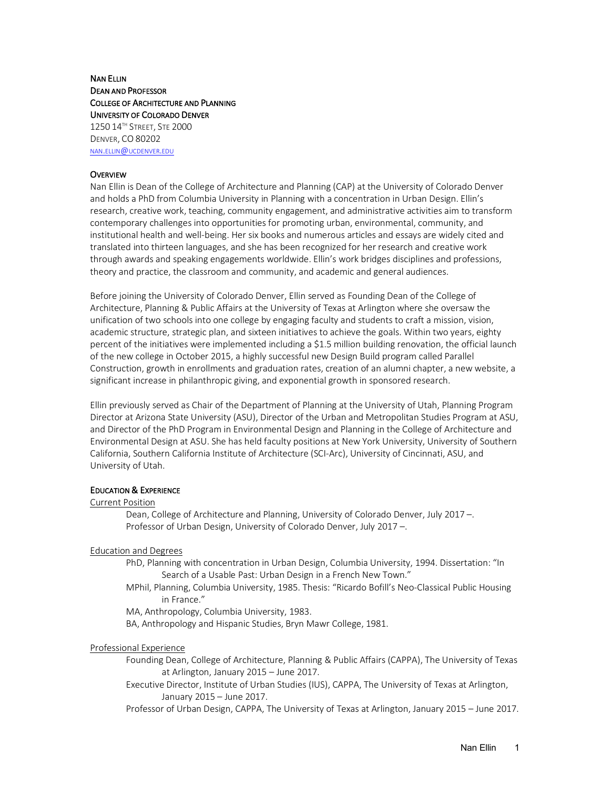# NAN ELLIN DEAN AND PROFESSOR COLLEGE OF ARCHITECTURE AND PLANNING UNIVERSITY OF COLORADO DENVER 1250 14TH STREET, STE 2000 DENVER, CO 80202 NAN.ELLIN@UCDENVER.EDU

# **OVERVIEW**

Nan Ellin is Dean of the College of Architecture and Planning (CAP) at the University of Colorado Denver and holds a PhD from Columbia University in Planning with a concentration in Urban Design. Ellin's research, creative work, teaching, community engagement, and administrative activities aim to transform contemporary challenges into opportunities for promoting urban, environmental, community, and institutional health and well-being. Her six books and numerous articles and essays are widely cited and translated into thirteen languages, and she has been recognized for her research and creative work through awards and speaking engagements worldwide. Ellin's work bridges disciplines and professions, theory and practice, the classroom and community, and academic and general audiences.

Before joining the University of Colorado Denver, Ellin served as Founding Dean of the College of Architecture, Planning & Public Affairs at the University of Texas at Arlington where she oversaw the unification of two schools into one college by engaging faculty and students to craft a mission, vision, academic structure, strategic plan, and sixteen initiatives to achieve the goals. Within two years, eighty percent of the initiatives were implemented including a \$1.5 million building renovation, the official launch of the new college in October 2015, a highly successful new Design Build program called Parallel Construction, growth in enrollments and graduation rates, creation of an alumni chapter, a new website, a significant increase in philanthropic giving, and exponential growth in sponsored research.

Ellin previously served as Chair of the Department of Planning at the University of Utah, Planning Program Director at Arizona State University (ASU), Director of the Urban and Metropolitan Studies Program at ASU, and Director of the PhD Program in Environmental Design and Planning in the College of Architecture and Environmental Design at ASU. She has held faculty positions at New York University, University of Southern California, Southern California Institute of Architecture (SCI-Arc), University of Cincinnati, ASU, and University of Utah.

### EDUCATION & EXPERIENCE

### Current Position

Dean, College of Architecture and Planning, University of Colorado Denver, July 2017 –. Professor of Urban Design, University of Colorado Denver, July 2017 –.

# Education and Degrees

PhD, Planning with concentration in Urban Design, Columbia University, 1994. Dissertation: "In Search of a Usable Past: Urban Design in a French New Town."

MPhil, Planning, Columbia University, 1985. Thesis: "Ricardo Bofill's Neo-Classical Public Housing in France."

MA, Anthropology, Columbia University, 1983.

BA, Anthropology and Hispanic Studies, Bryn Mawr College, 1981.

### Professional Experience

Founding Dean, College of Architecture, Planning & Public Affairs (CAPPA), The University of Texas at Arlington, January 2015 – June 2017.

Executive Director, Institute of Urban Studies (IUS), CAPPA, The University of Texas at Arlington, January 2015 – June 2017.

Professor of Urban Design, CAPPA, The University of Texas at Arlington, January 2015 – June 2017.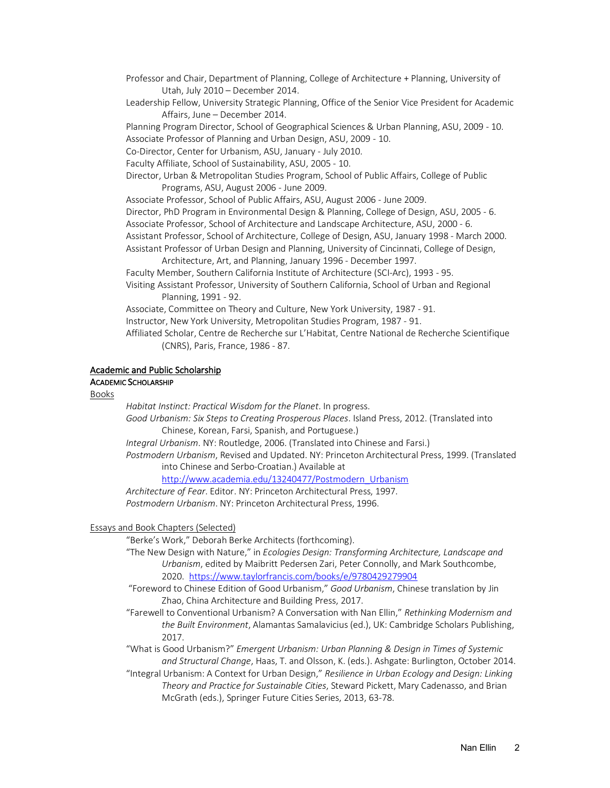Professor and Chair, Department of Planning, College of Architecture + Planning, University of Utah, July 2010 – December 2014.

Leadership Fellow, University Strategic Planning, Office of the Senior Vice President for Academic Affairs, June – December 2014.

Planning Program Director, School of Geographical Sciences & Urban Planning, ASU, 2009 - 10. Associate Professor of Planning and Urban Design, ASU, 2009 - 10.

Co-Director, Center for Urbanism, ASU, January - July 2010.

Faculty Affiliate, School of Sustainability, ASU, 2005 - 10.

Director, Urban & Metropolitan Studies Program, School of Public Affairs, College of Public Programs, ASU, August 2006 - June 2009.

Associate Professor, School of Public Affairs, ASU, August 2006 - June 2009.

Director, PhD Program in Environmental Design & Planning, College of Design, ASU, 2005 - 6.

Associate Professor, School of Architecture and Landscape Architecture, ASU, 2000 - 6.

Assistant Professor, School of Architecture, College of Design, ASU, January 1998 - March 2000.

Assistant Professor of Urban Design and Planning, University of Cincinnati, College of Design, Architecture, Art, and Planning, January 1996 - December 1997.

Faculty Member, Southern California Institute of Architecture (SCI-Arc), 1993 - 95.

Visiting Assistant Professor, University of Southern California, School of Urban and Regional Planning, 1991 - 92.

Associate, Committee on Theory and Culture, New York University, 1987 - 91.

Instructor, New York University, Metropolitan Studies Program, 1987 - 91.

Affiliated Scholar, Centre de Recherche sur L'Habitat, Centre National de Recherche Scientifique (CNRS), Paris, France, 1986 - 87.

### Academic and Public Scholarship

# ACADEMIC SCHOLARSHIP

Books

*Habitat Instinct: Practical Wisdom for the Planet*. In progress.

*Good Urbanism: Six Steps to Creating Prosperous Places*. Island Press, 2012. (Translated into Chinese, Korean, Farsi, Spanish, and Portuguese.)

*Integral Urbanism*. NY: Routledge, 2006. (Translated into Chinese and Farsi.)

*Postmodern Urbanism*, Revised and Updated. NY: Princeton Architectural Press, 1999. (Translated into Chinese and Serbo-Croatian.) Available at

http://www.academia.edu/13240477/Postmodern\_Urbanism

*Architecture of Fear*. Editor. NY: Princeton Architectural Press, 1997. *Postmodern Urbanism*. NY: Princeton Architectural Press, 1996.

# Essays and Book Chapters (Selected)

"Berke's Work," Deborah Berke Architects (forthcoming).

"The New Design with Nature," in *Ecologies Design: Transforming Architecture, Landscape and Urbanism*, edited by Maibritt Pedersen Zari, Peter Connolly, and Mark Southcombe, 2020. https://www.taylorfrancis.com/books/e/9780429279904

"Foreword to Chinese Edition of Good Urbanism," *Good Urbanism*, Chinese translation by Jin Zhao, China Architecture and Building Press, 2017.

"Farewell to Conventional Urbanism? A Conversation with Nan Ellin," *Rethinking Modernism and the Built Environment*, Alamantas Samalavicius (ed.), UK: Cambridge Scholars Publishing, 2017.

"What is Good Urbanism?" *Emergent Urbanism: Urban Planning & Design in Times of Systemic and Structural Change*, Haas, T. and Olsson, K. (eds.). Ashgate: Burlington, October 2014.

"Integral Urbanism: A Context for Urban Design," *Resilience in Urban Ecology and Design: Linking Theory and Practice for Sustainable Cities*, Steward Pickett, Mary Cadenasso, and Brian McGrath (eds.), Springer Future Cities Series, 2013, 63-78.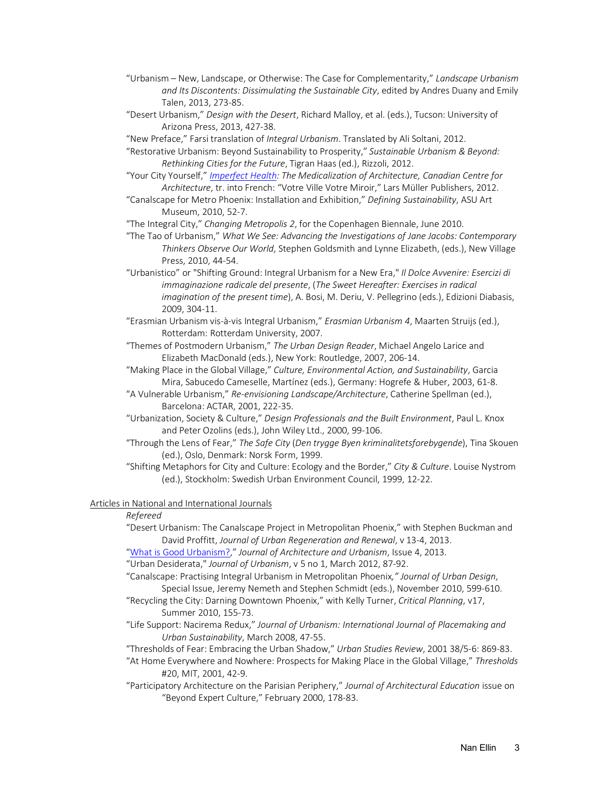- "Urbanism New, Landscape, or Otherwise: The Case for Complementarity," *Landscape Urbanism and Its Discontents: Dissimulating the Sustainable City*, edited by Andres Duany and Emily Talen, 2013, 273-85.
- "Desert Urbanism," *Design with the Desert*, Richard Malloy, et al. (eds.), Tucson: University of Arizona Press, 2013, 427-38.
- "New Preface," Farsi translation of *Integral Urbanism*. Translated by Ali Soltani, 2012.
- "Restorative Urbanism: Beyond Sustainability to Prosperity," *Sustainable Urbanism & Beyond: Rethinking Cities for the Future*, Tigran Haas (ed.), Rizzoli, 2012.
- "Your City Yourself," *Imperfect Health: The Medicalization of Architecture, Canadian Centre for Architecture*, tr. into French: "Votre Ville Votre Miroir," Lars Müller Publishers, 2012.
- "Canalscape for Metro Phoenix: Installation and Exhibition," *Defining Sustainability*, ASU Art Museum, 2010, 52-7.

"The Integral City," *Changing Metropolis 2*, for the Copenhagen Biennale, June 2010.

- "The Tao of Urbanism," *What We See: Advancing the Investigations of Jane Jacobs: Contemporary Thinkers Observe Our World*, Stephen Goldsmith and Lynne Elizabeth, (eds.), New Village Press, 2010, 44-54.
- "Urbanistico" or "Shifting Ground: Integral Urbanism for a New Era," *Il Dolce Avvenire: Esercizi di immaginazione radicale del presente*, (*The Sweet Hereafter: Exercises in radical imagination of the present time*), A. Bosi, M. Deriu, V. Pellegrino (eds.), Edizioni Diabasis, 2009, 304-11.

"Erasmian Urbanism vis-à-vis Integral Urbanism," *Erasmian Urbanism 4*, Maarten Struijs (ed.), Rotterdam: Rotterdam University, 2007.

- "Themes of Postmodern Urbanism," *The Urban Design Reader*, Michael Angelo Larice and Elizabeth MacDonald (eds.), New York: Routledge, 2007, 206-14.
- "Making Place in the Global Village," *Culture, Environmental Action, and Sustainability*, Garcia Mira, Sabucedo Cameselle, Martínez (eds.), Germany: Hogrefe & Huber, 2003, 61-8.
- "A Vulnerable Urbanism," *Re-envisioning Landscape/Architecture*, Catherine Spellman (ed.), Barcelona: ACTAR, 2001, 222-35.
- "Urbanization, Society & Culture," *Design Professionals and the Built Environment*, Paul L. Knox and Peter Ozolins (eds.), John Wiley Ltd., 2000, 99-106.
- "Through the Lens of Fear," *The Safe City* (*Den trygge Byen kriminalitetsforebygende*), Tina Skouen (ed.), Oslo, Denmark: Norsk Form, 1999.
- "Shifting Metaphors for City and Culture: Ecology and the Border," *City & Culture*. Louise Nystrom (ed.), Stockholm: Swedish Urban Environment Council, 1999, 12-22.

### Articles in National and International Journals

### *Refereed*

"Desert Urbanism: The Canalscape Project in Metropolitan Phoenix," with Stephen Buckman and David Proffitt, *Journal of Urban Regeneration and Renewal*, v 13-4, 2013.

"What is Good Urbanism?," *Journal of Architecture and Urbanism*, Issue 4, 2013.

"Urban Desiderata," *Journal of Urbanism*, v 5 no 1, March 2012, 87-92.

"Canalscape: Practising Integral Urbanism in Metropolitan Phoenix*," Journal of Urban Design*, Special Issue, Jeremy Nemeth and Stephen Schmidt (eds.), November 2010, 599-610.

- "Recycling the City: Darning Downtown Phoenix," with Kelly Turner, *Critical Planning*, v17, Summer 2010, 155-73.
- "Life Support: Nacirema Redux," *Journal of Urbanism: International Journal of Placemaking and Urban Sustainability*, March 2008, 47-55.

"Thresholds of Fear: Embracing the Urban Shadow," *Urban Studies Review*, 2001 38/5-6: 869-83.

- "At Home Everywhere and Nowhere: Prospects for Making Place in the Global Village," *Thresholds* #20, MIT, 2001, 42-9.
- "Participatory Architecture on the Parisian Periphery," *Journal of Architectural Education* issue on "Beyond Expert Culture," February 2000, 178-83.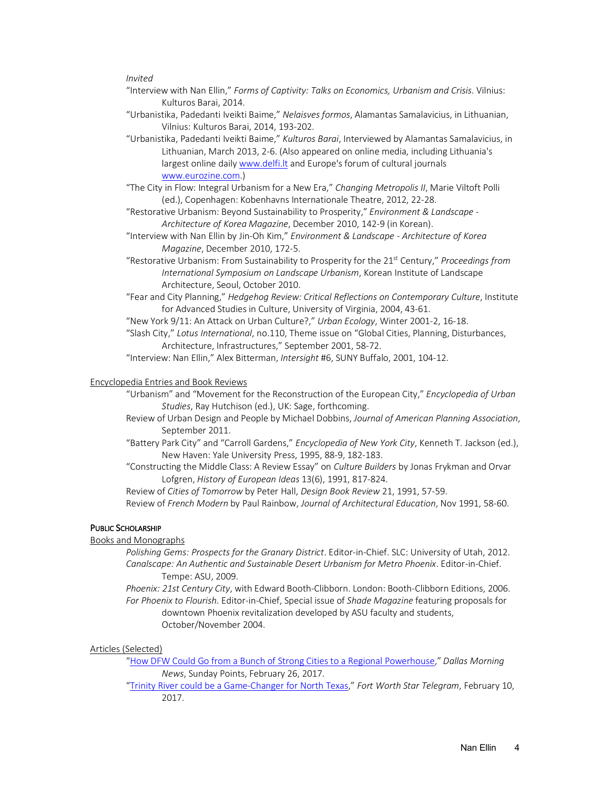### *Invited*

- "Interview with Nan Ellin," *Forms of Captivity: Talks on Economics, Urbanism and Crisis*. Vilnius: Kulturos Barai, 2014.
- "Urbanistika, Padedanti Iveikti Baime," *Nelaisves formos*, Alamantas Samalavicius, in Lithuanian, Vilnius: Kulturos Barai, 2014, 193-202.
- "Urbanistika, Padedanti Iveikti Baime," *Kulturos Barai*, Interviewed by Alamantas Samalavicius, in Lithuanian, March 2013, 2-6. (Also appeared on online media, including Lithuania's largest online daily www.delfi.lt and Europe's forum of cultural journals www.eurozine.com.)

"The City in Flow: Integral Urbanism for a New Era," *Changing Metropolis II*, Marie Viltoft Polli (ed.), Copenhagen: Kobenhavns Internationale Theatre, 2012, 22-28.

- "Restorative Urbanism: Beyond Sustainability to Prosperity," *Environment & Landscape - Architecture of Korea Magazine*, December 2010, 142-9 (in Korean).
- "Interview with Nan Ellin by Jin-Oh Kim," *Environment & Landscape - Architecture of Korea Magazine*, December 2010, 172-5.
- "Restorative Urbanism: From Sustainability to Prosperity for the 21st Century," *Proceedings from International Symposium on Landscape Urbanism*, Korean Institute of Landscape Architecture, Seoul, October 2010.
- "Fear and City Planning," *Hedgehog Review: Critical Reflections on Contemporary Culture*, Institute for Advanced Studies in Culture, University of Virginia, 2004, 43-61.
- "New York 9/11: An Attack on Urban Culture?," *Urban Ecology*, Winter 2001-2, 16-18.

"Slash City," *Lotus International*, no.110, Theme issue on "Global Cities, Planning, Disturbances, Architecture, Infrastructures," September 2001, 58-72.

"Interview: Nan Ellin," Alex Bitterman, *Intersight* #6, SUNY Buffalo, 2001, 104-12.

### Encyclopedia Entries and Book Reviews

- "Urbanism" and "Movement for the Reconstruction of the European City," *Encyclopedia of Urban Studies*, Ray Hutchison (ed.), UK: Sage, forthcoming.
- Review of Urban Design and People by Michael Dobbins, *Journal of American Planning Association*, September 2011.
- "Battery Park City" and "Carroll Gardens," *Encyclopedia of New York City*, Kenneth T. Jackson (ed.), New Haven: Yale University Press, 1995, 88-9, 182-183.
- "Constructing the Middle Class: A Review Essay" on *Culture Builders* by Jonas Frykman and Orvar Lofgren, *History of European Ideas* 13(6), 1991, 817-824.

Review of *Cities of Tomorrow* by Peter Hall, *Design Book Review* 21, 1991, 57-59. Review of *French Modern* by Paul Rainbow, *Journal of Architectural Education*, Nov 1991, 58-60.

### PUBLIC SCHOLARSHIP

### Books and Monographs

- *Polishing Gems: Prospects for the Granary District*. Editor-in-Chief. SLC: University of Utah, 2012. *Canalscape: An Authentic and Sustainable Desert Urbanism for Metro Phoenix*. Editor-in-Chief. Tempe: ASU, 2009.
- *Phoenix: 21st Century City*, with Edward Booth-Clibborn. London: Booth-Clibborn Editions, 2006. *For Phoenix to Flourish*. Editor-in-Chief, Special issue of *Shade Magazine* featuring proposals for downtown Phoenix revitalization developed by ASU faculty and students, October/November 2004.

#### Articles (Selected)

- "How DFW Could Go from a Bunch of Strong Cities to a Regional Powerhouse," *Dallas Morning News*, Sunday Points, February 26, 2017.
- "Trinity River could be a Game-Changer for North Texas," *Fort Worth Star Telegram*, February 10, 2017.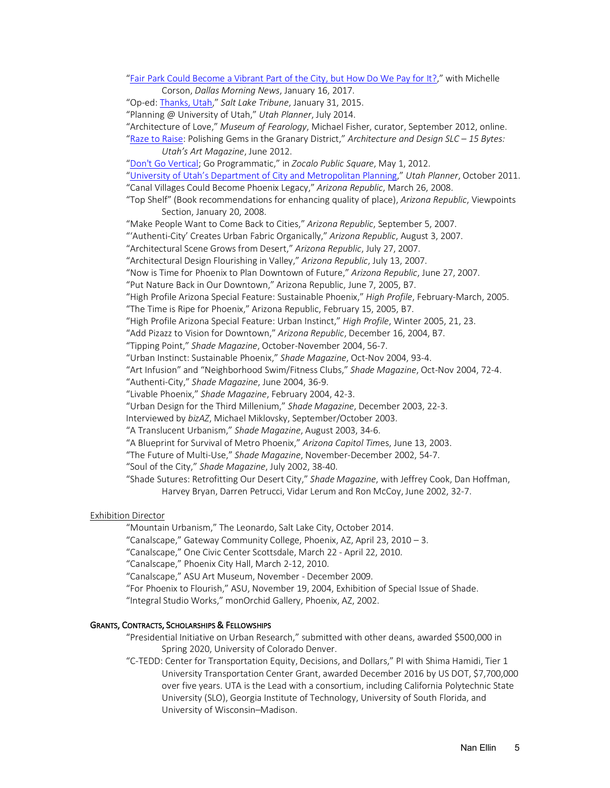"Fair Park Could Become a Vibrant Part of the City, but How Do We Pay for It?," with Michelle

Corson, *Dallas Morning News*, January 16, 2017.

"Op-ed: Thanks, Utah," *Salt Lake Tribune*, January 31, 2015.

"Planning @ University of Utah," *Utah Planner*, July 2014.

"Architecture of Love," *Museum of Fearology*, Michael Fisher, curator, September 2012, online.

"Raze to Raise: Polishing Gems in the Granary District," *Architecture and Design SLC – 15 Bytes: Utah's Art Magazine*, June 2012.

"Don't Go Vertical; Go Programmatic," in *Zocalo Public Square*, May 1, 2012.

"University of Utah's Department of City and Metropolitan Planning," *Utah Planner*, October 2011. "Canal Villages Could Become Phoenix Legacy," *Arizona Republic*, March 26, 2008.

"Top Shelf" (Book recommendations for enhancing quality of place), *Arizona Republic*, Viewpoints Section, January 20, 2008.

"Make People Want to Come Back to Cities," *Arizona Republic*, September 5, 2007.

"'Authenti-City' Creates Urban Fabric Organically," *Arizona Republic*, August 3, 2007.

"Architectural Scene Grows from Desert," *Arizona Republic*, July 27, 2007.

"Architectural Design Flourishing in Valley," *Arizona Republic*, July 13, 2007.

"Now is Time for Phoenix to Plan Downtown of Future," *Arizona Republic*, June 27, 2007.

"Put Nature Back in Our Downtown," Arizona Republic, June 7, 2005, B7.

"High Profile Arizona Special Feature: Sustainable Phoenix," *High Profile*, February-March, 2005.

"The Time is Ripe for Phoenix," Arizona Republic, February 15, 2005, B7.

"High Profile Arizona Special Feature: Urban Instinct," *High Profile*, Winter 2005, 21, 23.

"Add Pizazz to Vision for Downtown," *Arizona Republic*, December 16, 2004, B7.

"Tipping Point," *Shade Magazine*, October-November 2004, 56-7.

"Urban Instinct: Sustainable Phoenix," *Shade Magazine*, Oct-Nov 2004, 93-4.

"Art Infusion" and "Neighborhood Swim/Fitness Clubs," *Shade Magazine*, Oct-Nov 2004, 72-4.

"Authenti-City," *Shade Magazine*, June 2004, 36-9.

"Livable Phoenix," *Shade Magazine*, February 2004, 42-3.

"Urban Design for the Third Millenium," *Shade Magazine*, December 2003, 22-3.

Interviewed by *bizAZ*, Michael Miklovsky, September/October 2003.

"A Translucent Urbanism," *Shade Magazine*, August 2003, 34-6.

"A Blueprint for Survival of Metro Phoenix," *Arizona Capitol Tim*es, June 13, 2003.

"The Future of Multi-Use," *Shade Magazine*, November-December 2002, 54-7.

"Soul of the City," *Shade Magazine*, July 2002, 38-40.

"Shade Sutures: Retrofitting Our Desert City," *Shade Magazine*, with Jeffrey Cook, Dan Hoffman, Harvey Bryan, Darren Petrucci, Vidar Lerum and Ron McCoy, June 2002, 32-7.

### Exhibition Director

"Mountain Urbanism," The Leonardo, Salt Lake City, October 2014.

"Canalscape," Gateway Community College, Phoenix, AZ, April 23, 2010 – 3.

"Canalscape," One Civic Center Scottsdale, March 22 - April 22, 2010.

"Canalscape," Phoenix City Hall, March 2-12, 2010.

"Canalscape," ASU Art Museum, November - December 2009.

"For Phoenix to Flourish," ASU, November 19, 2004, Exhibition of Special Issue of Shade.

"Integral Studio Works," monOrchid Gallery, Phoenix, AZ, 2002.

# GRANTS, CONTRACTS, SCHOLARSHIPS & FELLOWSHIPS

"Presidential Initiative on Urban Research," submitted with other deans, awarded \$500,000 in Spring 2020, University of Colorado Denver.

"C-TEDD: Center for Transportation Equity, Decisions, and Dollars," PI with Shima Hamidi, Tier 1 University Transportation Center Grant, awarded December 2016 by US DOT, \$7,700,000 over five years. UTA is the Lead with a consortium, including California Polytechnic State University (SLO), Georgia Institute of Technology, University of South Florida, and University of Wisconsin–Madison.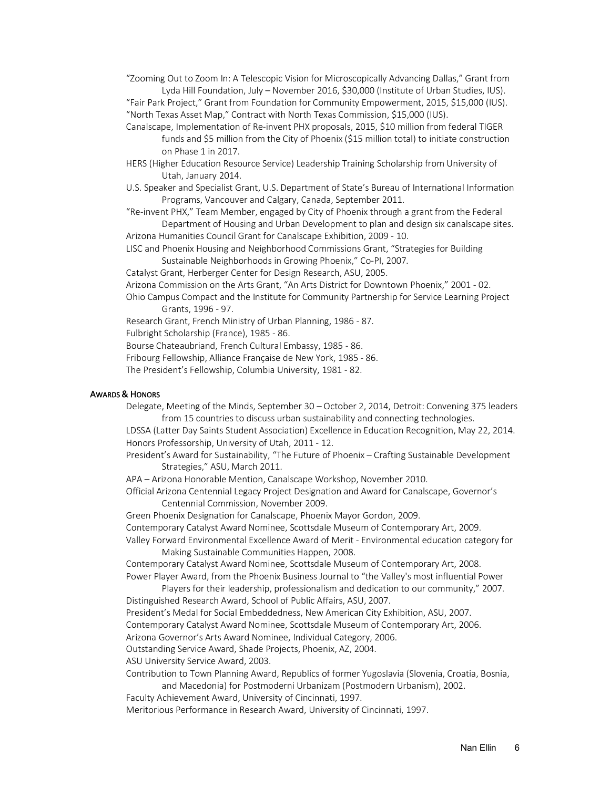"Zooming Out to Zoom In: A Telescopic Vision for Microscopically Advancing Dallas," Grant from Lyda Hill Foundation, July – November 2016, \$30,000 (Institute of Urban Studies, IUS).

"Fair Park Project," Grant from Foundation for Community Empowerment, 2015, \$15,000 (IUS). "North Texas Asset Map," Contract with North Texas Commission, \$15,000 (IUS).

- Canalscape, Implementation of Re-invent PHX proposals, 2015, \$10 million from federal TIGER funds and \$5 million from the City of Phoenix (\$15 million total) to initiate construction on Phase 1 in 2017.
- HERS (Higher Education Resource Service) Leadership Training Scholarship from University of Utah, January 2014.
- U.S. Speaker and Specialist Grant, U.S. Department of State's Bureau of International Information Programs, Vancouver and Calgary, Canada, September 2011.
- "Re-invent PHX," Team Member, engaged by City of Phoenix through a grant from the Federal Department of Housing and Urban Development to plan and design six canalscape sites.

Arizona Humanities Council Grant for Canalscape Exhibition, 2009 - 10.

- LISC and Phoenix Housing and Neighborhood Commissions Grant, "Strategies for Building Sustainable Neighborhoods in Growing Phoenix," Co-PI, 2007.
- Catalyst Grant, Herberger Center for Design Research, ASU, 2005.

Arizona Commission on the Arts Grant, "An Arts District for Downtown Phoenix," 2001 - 02.

Ohio Campus Compact and the Institute for Community Partnership for Service Learning Project Grants, 1996 - 97.

Research Grant, French Ministry of Urban Planning, 1986 - 87.

Fulbright Scholarship (France), 1985 - 86.

Bourse Chateaubriand, French Cultural Embassy, 1985 - 86.

Fribourg Fellowship, Alliance Française de New York, 1985 - 86.

The President's Fellowship, Columbia University, 1981 - 82.

### AWARDS & HONORS

Delegate, Meeting of the Minds, September 30 – October 2, 2014, Detroit: Convening 375 leaders from 15 countries to discuss urban sustainability and connecting technologies.

LDSSA (Latter Day Saints Student Association) Excellence in Education Recognition, May 22, 2014. Honors Professorship, University of Utah, 2011 - 12.

President's Award for Sustainability, "The Future of Phoenix – Crafting Sustainable Development Strategies," ASU, March 2011.

APA – Arizona Honorable Mention, Canalscape Workshop, November 2010.

Official Arizona Centennial Legacy Project Designation and Award for Canalscape, Governor's Centennial Commission, November 2009.

Green Phoenix Designation for Canalscape, Phoenix Mayor Gordon, 2009.

Contemporary Catalyst Award Nominee, Scottsdale Museum of Contemporary Art, 2009.

Valley Forward Environmental Excellence Award of Merit - Environmental education category for Making Sustainable Communities Happen, 2008.

Contemporary Catalyst Award Nominee, Scottsdale Museum of Contemporary Art, 2008. Power Player Award, from the Phoenix Business Journal to "the Valley's most influential Power

Players for their leadership, professionalism and dedication to our community," 2007. Distinguished Research Award, School of Public Affairs, ASU, 2007.

President's Medal for Social Embeddedness, New American City Exhibition, ASU, 2007.

Contemporary Catalyst Award Nominee, Scottsdale Museum of Contemporary Art, 2006.

Arizona Governor's Arts Award Nominee, Individual Category, 2006.

Outstanding Service Award, Shade Projects, Phoenix, AZ, 2004.

ASU University Service Award, 2003.

Contribution to Town Planning Award, Republics of former Yugoslavia (Slovenia, Croatia, Bosnia, and Macedonia) for Postmoderni Urbanizam (Postmodern Urbanism), 2002.

Faculty Achievement Award, University of Cincinnati, 1997.

Meritorious Performance in Research Award, University of Cincinnati, 1997.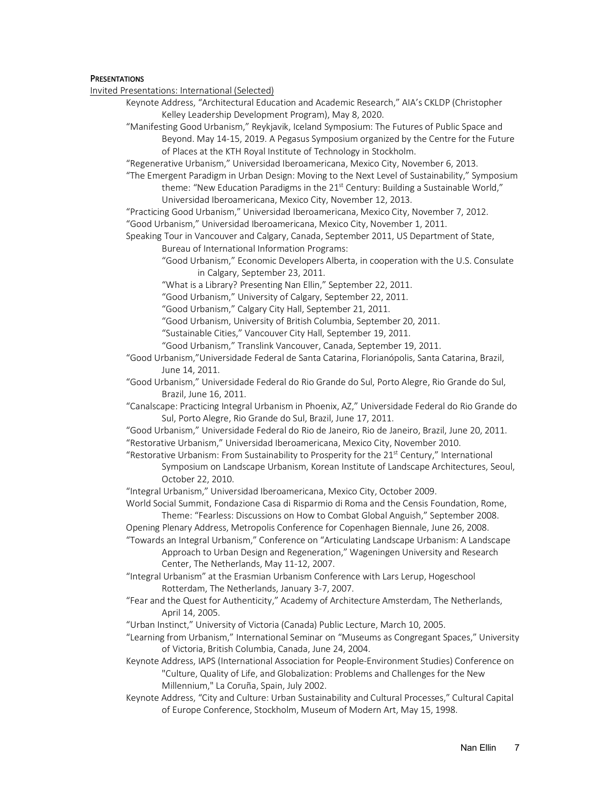### **PRESENTATIONS**

Invited Presentations: International (Selected)

Keynote Address, "Architectural Education and Academic Research," AIA's CKLDP (Christopher Kelley Leadership Development Program), May 8, 2020.

"Manifesting Good Urbanism," Reykjavik, Iceland Symposium: The Futures of Public Space and Beyond. May 14-15, 2019. A Pegasus Symposium organized by the Centre for the Future of Places at the KTH Royal Institute of Technology in Stockholm.

"Regenerative Urbanism," Universidad Iberoamericana, Mexico City, November 6, 2013.

"The Emergent Paradigm in Urban Design: Moving to the Next Level of Sustainability," Symposium theme: "New Education Paradigms in the 21<sup>st</sup> Century: Building a Sustainable World," Universidad Iberoamericana, Mexico City, November 12, 2013.

"Practicing Good Urbanism," Universidad Iberoamericana, Mexico City, November 7, 2012.

"Good Urbanism," Universidad Iberoamericana, Mexico City, November 1, 2011.

Speaking Tour in Vancouver and Calgary, Canada, September 2011, US Department of State, Bureau of International Information Programs:

"Good Urbanism," Economic Developers Alberta, in cooperation with the U.S. Consulate in Calgary, September 23, 2011.

"What is a Library? Presenting Nan Ellin," September 22, 2011.

"Good Urbanism," University of Calgary, September 22, 2011.

"Good Urbanism," Calgary City Hall, September 21, 2011.

"Good Urbanism, University of British Columbia, September 20, 2011.

"Sustainable Cities," Vancouver City Hall, September 19, 2011.

"Good Urbanism," Translink Vancouver, Canada, September 19, 2011.

"Good Urbanism,"Universidade Federal de Santa Catarina, Florianópolis, Santa Catarina, Brazil, June 14, 2011.

"Good Urbanism," Universidade Federal do Rio Grande do Sul, Porto Alegre, Rio Grande do Sul, Brazil, June 16, 2011.

"Canalscape: Practicing Integral Urbanism in Phoenix, AZ," Universidade Federal do Rio Grande do Sul, Porto Alegre, Rio Grande do Sul, Brazil, June 17, 2011.

"Good Urbanism," Universidade Federal do Rio de Janeiro, Rio de Janeiro, Brazil, June 20, 2011. "Restorative Urbanism," Universidad Iberoamericana, Mexico City, November 2010.

"Restorative Urbanism: From Sustainability to Prosperity for the 21<sup>st</sup> Century," International Symposium on Landscape Urbanism, Korean Institute of Landscape Architectures, Seoul, October 22, 2010.

"Integral Urbanism," Universidad Iberoamericana, Mexico City, October 2009.

World Social Summit, Fondazione Casa di Risparmio di Roma and the Censis Foundation, Rome, Theme: "Fearless: Discussions on How to Combat Global Anguish," September 2008.

Opening Plenary Address, Metropolis Conference for Copenhagen Biennale, June 26, 2008.

"Towards an Integral Urbanism," Conference on "Articulating Landscape Urbanism: A Landscape Approach to Urban Design and Regeneration," Wageningen University and Research Center, The Netherlands, May 11-12, 2007.

"Integral Urbanism" at the Erasmian Urbanism Conference with Lars Lerup, Hogeschool Rotterdam, The Netherlands, January 3-7, 2007.

"Fear and the Quest for Authenticity," Academy of Architecture Amsterdam, The Netherlands, April 14, 2005.

"Urban Instinct," University of Victoria (Canada) Public Lecture, March 10, 2005.

"Learning from Urbanism," International Seminar on "Museums as Congregant Spaces," University of Victoria, British Columbia, Canada, June 24, 2004.

Keynote Address, IAPS (International Association for People-Environment Studies) Conference on "Culture, Quality of Life, and Globalization: Problems and Challenges for the New Millennium," La Coruña, Spain, July 2002.

Keynote Address, "City and Culture: Urban Sustainability and Cultural Processes," Cultural Capital of Europe Conference, Stockholm, Museum of Modern Art, May 15, 1998.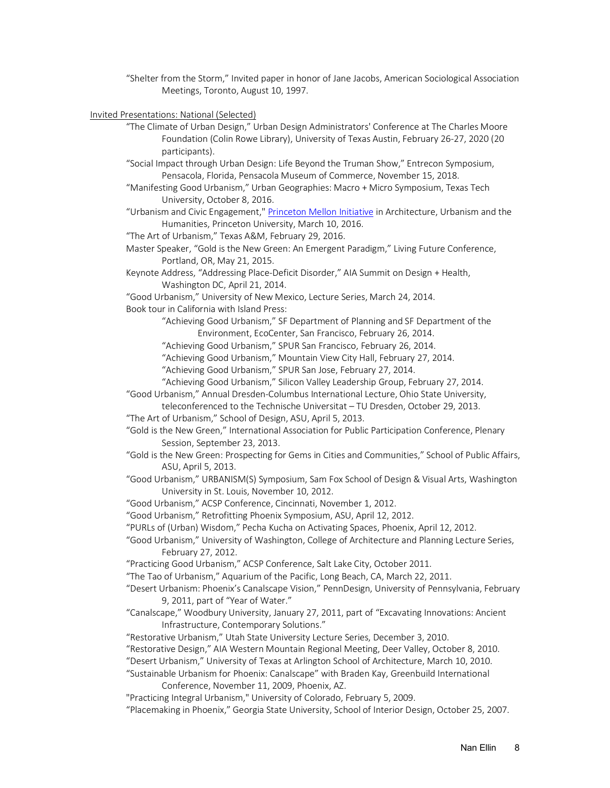"Shelter from the Storm," Invited paper in honor of Jane Jacobs, American Sociological Association Meetings, Toronto, August 10, 1997.

Invited Presentations: National (Selected)

- "The Climate of Urban Design," Urban Design Administrators' Conference at The Charles Moore Foundation (Colin Rowe Library), University of Texas Austin, February 26-27, 2020 (20 participants).
- "Social Impact through Urban Design: Life Beyond the Truman Show," Entrecon Symposium, Pensacola, Florida, Pensacola Museum of Commerce, November 15, 2018.
- "Manifesting Good Urbanism," Urban Geographies: Macro + Micro Symposium, Texas Tech University, October 8, 2016.
- "Urbanism and Civic Engagement," Princeton Mellon Initiative in Architecture, Urbanism and the Humanities, Princeton University, March 10, 2016.
- "The Art of Urbanism," Texas A&M, February 29, 2016.
- Master Speaker, "Gold is the New Green: An Emergent Paradigm," Living Future Conference, Portland, OR, May 21, 2015.

Keynote Address, "Addressing Place-Deficit Disorder," AIA Summit on Design + Health, Washington DC, April 21, 2014.

"Good Urbanism," University of New Mexico, Lecture Series, March 24, 2014.

Book tour in California with Island Press:

"Achieving Good Urbanism," SF Department of Planning and SF Department of the Environment, EcoCenter, San Francisco, February 26, 2014.

"Achieving Good Urbanism," SPUR San Francisco, February 26, 2014.

"Achieving Good Urbanism," Mountain View City Hall, February 27, 2014.

"Achieving Good Urbanism," SPUR San Jose, February 27, 2014.

- "Achieving Good Urbanism," Silicon Valley Leadership Group, February 27, 2014.
- "Good Urbanism," Annual Dresden-Columbus International Lecture, Ohio State University,

teleconferenced to the Technische Universitat – TU Dresden, October 29, 2013.

- "The Art of Urbanism," School of Design, ASU, April 5, 2013.
- "Gold is the New Green," International Association for Public Participation Conference, Plenary Session, September 23, 2013.
- "Gold is the New Green: Prospecting for Gems in Cities and Communities," School of Public Affairs, ASU, April 5, 2013.
- "Good Urbanism," URBANISM(S) Symposium, Sam Fox School of Design & Visual Arts, Washington University in St. Louis, November 10, 2012.
- "Good Urbanism," ACSP Conference, Cincinnati, November 1, 2012.
- "Good Urbanism," Retrofitting Phoenix Symposium, ASU, April 12, 2012.
- "PURLs of (Urban) Wisdom," Pecha Kucha on Activating Spaces, Phoenix, April 12, 2012.

"Good Urbanism," University of Washington, College of Architecture and Planning Lecture Series, February 27, 2012.

- "Practicing Good Urbanism," ACSP Conference, Salt Lake City, October 2011.
- "The Tao of Urbanism," Aquarium of the Pacific, Long Beach, CA, March 22, 2011.
- "Desert Urbanism: Phoenix's Canalscape Vision," PennDesign, University of Pennsylvania, February 9, 2011, part of "Year of Water."
- "Canalscape," Woodbury University, January 27, 2011, part of "Excavating Innovations: Ancient Infrastructure, Contemporary Solutions."

"Restorative Urbanism," Utah State University Lecture Series, December 3, 2010.

- "Restorative Design," AIA Western Mountain Regional Meeting, Deer Valley, October 8, 2010.
- "Desert Urbanism," University of Texas at Arlington School of Architecture, March 10, 2010.
- "Sustainable Urbanism for Phoenix: Canalscape" with Braden Kay, Greenbuild International Conference, November 11, 2009, Phoenix, AZ.

"Practicing Integral Urbanism," University of Colorado, February 5, 2009.

"Placemaking in Phoenix," Georgia State University, School of Interior Design, October 25, 2007.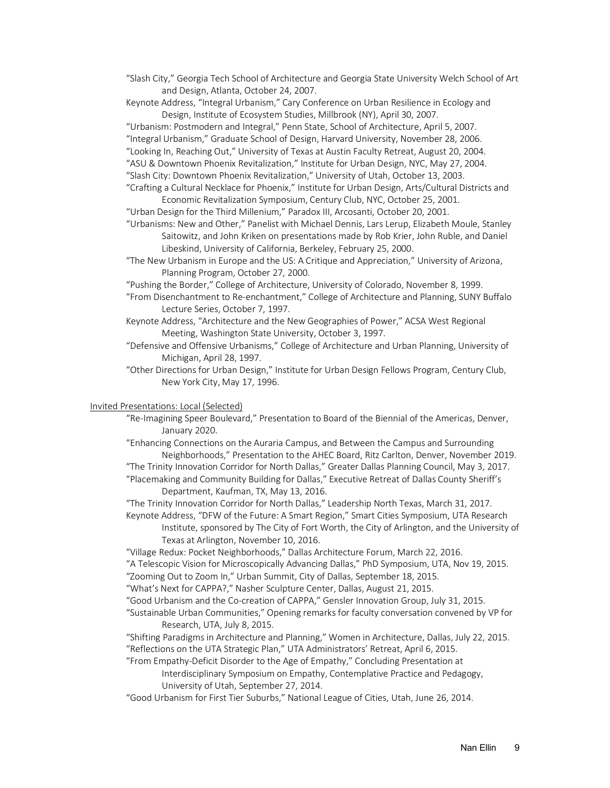"Slash City," Georgia Tech School of Architecture and Georgia State University Welch School of Art and Design, Atlanta, October 24, 2007.

Keynote Address, "Integral Urbanism," Cary Conference on Urban Resilience in Ecology and Design, Institute of Ecosystem Studies, Millbrook (NY), April 30, 2007.

"Urbanism: Postmodern and Integral," Penn State, School of Architecture, April 5, 2007. "Integral Urbanism," Graduate School of Design, Harvard University, November 28, 2006.

"Looking In, Reaching Out," University of Texas at Austin Faculty Retreat, August 20, 2004.

"ASU & Downtown Phoenix Revitalization," Institute for Urban Design, NYC, May 27, 2004.

"Slash City: Downtown Phoenix Revitalization," University of Utah, October 13, 2003.

- "Crafting a Cultural Necklace for Phoenix," Institute for Urban Design, Arts/Cultural Districts and Economic Revitalization Symposium, Century Club, NYC, October 25, 2001.
- "Urban Design for the Third Millenium," Paradox III, Arcosanti, October 20, 2001.
- "Urbanisms: New and Other," Panelist with Michael Dennis, Lars Lerup, Elizabeth Moule, Stanley Saitowitz, and John Kriken on presentations made by Rob Krier, John Ruble, and Daniel Libeskind, University of California, Berkeley, February 25, 2000.
- "The New Urbanism in Europe and the US: A Critique and Appreciation," University of Arizona, Planning Program, October 27, 2000.

"Pushing the Border," College of Architecture, University of Colorado, November 8, 1999.

- "From Disenchantment to Re-enchantment," College of Architecture and Planning, SUNY Buffalo Lecture Series, October 7, 1997.
- Keynote Address, "Architecture and the New Geographies of Power," ACSA West Regional Meeting, Washington State University, October 3, 1997.

"Defensive and Offensive Urbanisms," College of Architecture and Urban Planning, University of Michigan, April 28, 1997.

"Other Directions for Urban Design," Institute for Urban Design Fellows Program, Century Club, New York City, May 17, 1996.

#### Invited Presentations: Local (Selected)

"Re-Imagining Speer Boulevard," Presentation to Board of the Biennial of the Americas, Denver, January 2020.

"Enhancing Connections on the Auraria Campus, and Between the Campus and Surrounding Neighborhoods," Presentation to the AHEC Board, Ritz Carlton, Denver, November 2019. "The Trinity Innovation Corridor for North Dallas," Greater Dallas Planning Council, May 3, 2017.

"Placemaking and Community Building for Dallas," Executive Retreat of Dallas County Sheriff's Department, Kaufman, TX, May 13, 2016.

"The Trinity Innovation Corridor for North Dallas," Leadership North Texas, March 31, 2017.

Keynote Address, "DFW of the Future: A Smart Region," Smart Cities Symposium, UTA Research Institute, sponsored by The City of Fort Worth, the City of Arlington, and the University of Texas at Arlington, November 10, 2016.

"Village Redux: Pocket Neighborhoods," Dallas Architecture Forum, March 22, 2016.

"A Telescopic Vision for Microscopically Advancing Dallas," PhD Symposium, UTA, Nov 19, 2015.

"Zooming Out to Zoom In," Urban Summit, City of Dallas, September 18, 2015.

"What's Next for CAPPA?," Nasher Sculpture Center, Dallas, August 21, 2015.

"Good Urbanism and the Co-creation of CAPPA," Gensler Innovation Group, July 31, 2015.

"Sustainable Urban Communities," Opening remarks for faculty conversation convened by VP for Research, UTA, July 8, 2015.

"Shifting Paradigms in Architecture and Planning," Women in Architecture, Dallas, July 22, 2015. "Reflections on the UTA Strategic Plan," UTA Administrators' Retreat, April 6, 2015.

"From Empathy-Deficit Disorder to the Age of Empathy," Concluding Presentation at Interdisciplinary Symposium on Empathy, Contemplative Practice and Pedagogy, University of Utah, September 27, 2014.

"Good Urbanism for First Tier Suburbs," National League of Cities, Utah, June 26, 2014.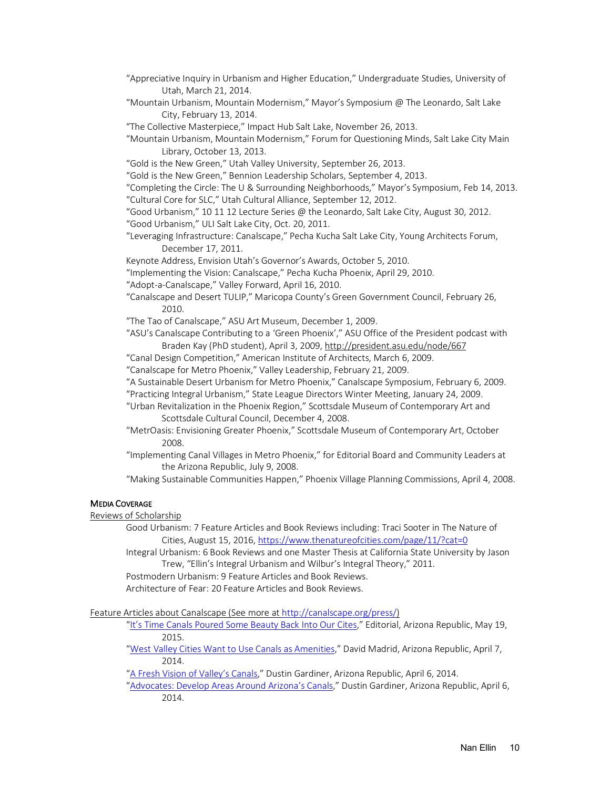- "Appreciative Inquiry in Urbanism and Higher Education," Undergraduate Studies, University of Utah, March 21, 2014.
- "Mountain Urbanism, Mountain Modernism," Mayor's Symposium @ The Leonardo, Salt Lake City, February 13, 2014.
- "The Collective Masterpiece," Impact Hub Salt Lake, November 26, 2013.

"Mountain Urbanism, Mountain Modernism," Forum for Questioning Minds, Salt Lake City Main Library, October 13, 2013.

- "Gold is the New Green," Utah Valley University, September 26, 2013.
- "Gold is the New Green," Bennion Leadership Scholars, September 4, 2013.

"Completing the Circle: The U & Surrounding Neighborhoods," Mayor's Symposium, Feb 14, 2013. "Cultural Core for SLC," Utah Cultural Alliance, September 12, 2012.

- "Good Urbanism," 10 11 12 Lecture Series @ the Leonardo, Salt Lake City, August 30, 2012.
- "Good Urbanism," ULI Salt Lake City, Oct. 20, 2011.
- "Leveraging Infrastructure: Canalscape," Pecha Kucha Salt Lake City, Young Architects Forum, December 17, 2011.
- Keynote Address, Envision Utah's Governor's Awards, October 5, 2010.
- "Implementing the Vision: Canalscape," Pecha Kucha Phoenix, April 29, 2010.
- "Adopt-a-Canalscape," Valley Forward, April 16, 2010.
- "Canalscape and Desert TULIP," Maricopa County's Green Government Council, February 26, 2010.
- "The Tao of Canalscape," ASU Art Museum, December 1, 2009.
- "ASU's Canalscape Contributing to a 'Green Phoenix'," ASU Office of the President podcast with Braden Kay (PhD student), April 3, 2009, http://president.asu.edu/node/667
- "Canal Design Competition," American Institute of Architects, March 6, 2009.
- "Canalscape for Metro Phoenix," Valley Leadership, February 21, 2009.
- "A Sustainable Desert Urbanism for Metro Phoenix," Canalscape Symposium, February 6, 2009.
- "Practicing Integral Urbanism," State League Directors Winter Meeting, January 24, 2009.
- "Urban Revitalization in the Phoenix Region," Scottsdale Museum of Contemporary Art and Scottsdale Cultural Council, December 4, 2008.
- "MetrOasis: Envisioning Greater Phoenix," Scottsdale Museum of Contemporary Art, October 2008.
- "Implementing Canal Villages in Metro Phoenix," for Editorial Board and Community Leaders at the Arizona Republic, July 9, 2008.
- "Making Sustainable Communities Happen," Phoenix Village Planning Commissions, April 4, 2008.

# MEDIA COVERAGE

# Reviews of Scholarship

- Good Urbanism: 7 Feature Articles and Book Reviews including: Traci Sooter in The Nature of Cities, August 15, 2016, https://www.thenatureofcities.com/page/11/?cat=0
- Integral Urbanism: 6 Book Reviews and one Master Thesis at California State University by Jason Trew, "Ellin's Integral Urbanism and Wilbur's Integral Theory," 2011.
- Postmodern Urbanism: 9 Feature Articles and Book Reviews.

Architecture of Fear: 20 Feature Articles and Book Reviews.

Feature Articles about Canalscape (See more at http://canalscape.org/press/)

- "It's Time Canals Poured Some Beauty Back Into Our Cites," Editorial, Arizona Republic, May 19, 2015.
- "West Valley Cities Want to Use Canals as Amenities," David Madrid, Arizona Republic, April 7, 2014.
- "A Fresh Vision of Valley's Canals," Dustin Gardiner, Arizona Republic, April 6, 2014.
- "Advocates: Develop Areas Around Arizona's Canals," Dustin Gardiner, Arizona Republic, April 6, 2014.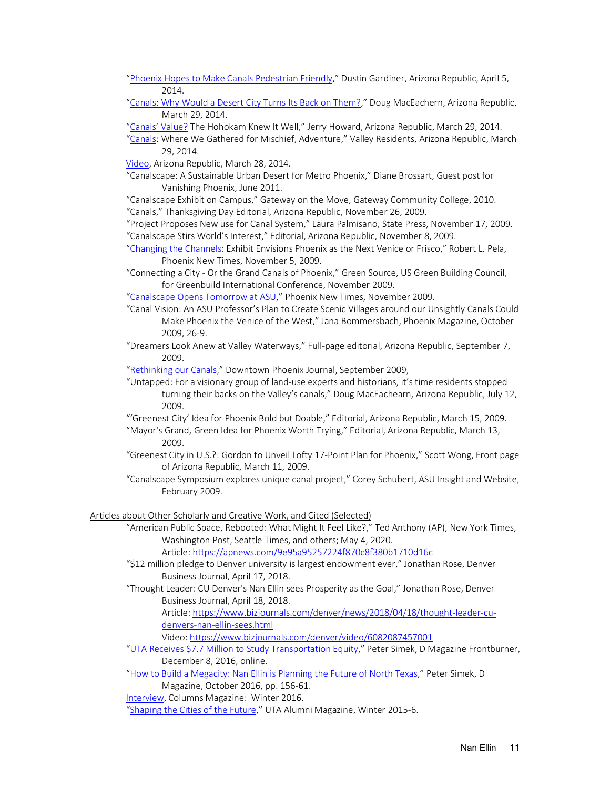"Phoenix Hopes to Make Canals Pedestrian Friendly," Dustin Gardiner, Arizona Republic, April 5, 2014.

"Canals: Why Would a Desert City Turns Its Back on Them?," Doug MacEachern, Arizona Republic, March 29, 2014.

"Canals' Value? The Hohokam Knew It Well," Jerry Howard, Arizona Republic, March 29, 2014.

"Canals: Where We Gathered for Mischief, Adventure," Valley Residents, Arizona Republic, March 29, 2014.

Video, Arizona Republic, March 28, 2014.

"Canalscape: A Sustainable Urban Desert for Metro Phoenix," Diane Brossart, Guest post for Vanishing Phoenix, June 2011.

"Canalscape Exhibit on Campus," Gateway on the Move, Gateway Community College, 2010. "Canals," Thanksgiving Day Editorial, Arizona Republic, November 26, 2009.

"Project Proposes New use for Canal System," Laura Palmisano, State Press, November 17, 2009. "Canalscape Stirs World's Interest," Editorial, Arizona Republic, November 8, 2009.

"Changing the Channels: Exhibit Envisions Phoenix as the Next Venice or Frisco," Robert L. Pela, Phoenix New Times, November 5, 2009.

"Connecting a City - Or the Grand Canals of Phoenix," Green Source, US Green Building Council, for Greenbuild International Conference, November 2009.

"Canalscape Opens Tomorrow at ASU," Phoenix New Times, November 2009.

"Canal Vision: An ASU Professor's Plan to Create Scenic Villages around our Unsightly Canals Could Make Phoenix the Venice of the West," Jana Bommersbach, Phoenix Magazine, October 2009, 26-9.

"Dreamers Look Anew at Valley Waterways," Full-page editorial, Arizona Republic, September 7, 2009.

"Rethinking our Canals," Downtown Phoenix Journal, September 2009,

"Untapped: For a visionary group of land-use experts and historians, it's time residents stopped turning their backs on the Valley's canals," Doug MacEachearn, Arizona Republic, July 12, 2009.

"'Greenest City' Idea for Phoenix Bold but Doable," Editorial, Arizona Republic, March 15, 2009.

- "Mayor's Grand, Green Idea for Phoenix Worth Trying," Editorial, Arizona Republic, March 13, 2009.
- "Greenest City in U.S.?: Gordon to Unveil Lofty 17-Point Plan for Phoenix," Scott Wong, Front page of Arizona Republic, March 11, 2009.
- "Canalscape Symposium explores unique canal project," Corey Schubert, ASU Insight and Website, February 2009.

Articles about Other Scholarly and Creative Work, and Cited (Selected)

"American Public Space, Rebooted: What Might It Feel Like?," Ted Anthony (AP), New York Times, Washington Post, Seattle Times, and others; May 4, 2020.

Article: https://apnews.com/9e95a95257224f870c8f380b1710d16c

- "\$12 million pledge to Denver university is largest endowment ever," Jonathan Rose, Denver Business Journal, April 17, 2018.
- "Thought Leader: CU Denver's Nan Ellin sees Prosperity as the Goal," Jonathan Rose, Denver Business Journal, April 18, 2018.

Article: https://www.bizjournals.com/denver/news/2018/04/18/thought-leader-cudenvers-nan-ellin-sees.html

Video: https://www.bizjournals.com/denver/video/6082087457001

"UTA Receives \$7.7 Million to Study Transportation Equity," Peter Simek, D Magazine Frontburner, December 8, 2016, online.

"How to Build a Megacity: Nan Ellin is Planning the Future of North Texas," Peter Simek, D Magazine, October 2016, pp. 156-61.

Interview, Columns Magazine: Winter 2016.

"Shaping the Cities of the Future," UTA Alumni Magazine, Winter 2015-6.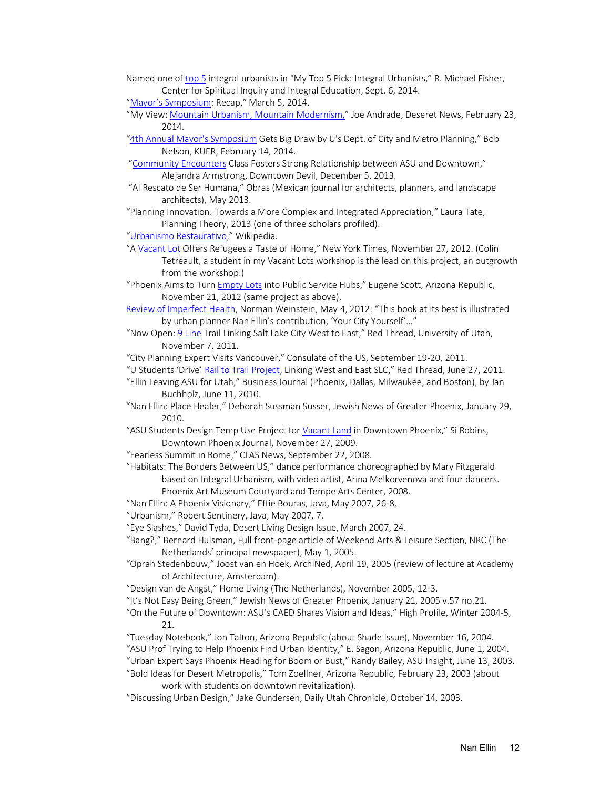- Named one of top 5 integral urbanists in "My Top 5 Pick: Integral Urbanists," R. Michael Fisher, Center for Spiritual Inquiry and Integral Education, Sept. 6, 2014.
- "Mayor's Symposium: Recap," March 5, 2014.
- "My View: Mountain Urbanism, Mountain Modernism," Joe Andrade, Deseret News, February 23, 2014.
- "4th Annual Mayor's Symposium Gets Big Draw by U's Dept. of City and Metro Planning," Bob Nelson, KUER, February 14, 2014.
- "Community Encounters Class Fosters Strong Relationship between ASU and Downtown," Alejandra Armstrong, Downtown Devil, December 5, 2013.
- "Al Rescato de Ser Humana," Obras (Mexican journal for architects, planners, and landscape architects), May 2013.
- "Planning Innovation: Towards a More Complex and Integrated Appreciation," Laura Tate, Planning Theory, 2013 (one of three scholars profiled).
- "Urbanismo Restaurativo," Wikipedia.
- "A Vacant Lot Offers Refugees a Taste of Home," New York Times, November 27, 2012. (Colin Tetreault, a student in my Vacant Lots workshop is the lead on this project, an outgrowth from the workshop.)
- "Phoenix Aims to Turn *Empty Lots* into Public Service Hubs," Eugene Scott, Arizona Republic, November 21, 2012 (same project as above).
- Review of Imperfect Health, Norman Weinstein, May 4, 2012: "This book at its best is illustrated by urban planner Nan Ellin's contribution, 'Your City Yourself'…"
- "Now Open: 9 Line Trail Linking Salt Lake City West to East," Red Thread, University of Utah, November 7, 2011.
- "City Planning Expert Visits Vancouver," Consulate of the US, September 19-20, 2011.
- "U Students 'Drive' Rail to Trail Project, Linking West and East SLC," Red Thread, June 27, 2011.
- "Ellin Leaving ASU for Utah," Business Journal (Phoenix, Dallas, Milwaukee, and Boston), by Jan Buchholz, June 11, 2010.
- "Nan Ellin: Place Healer," Deborah Sussman Susser, Jewish News of Greater Phoenix, January 29, 2010.
- "ASU Students Design Temp Use Project for Vacant Land in Downtown Phoenix," Si Robins, Downtown Phoenix Journal, November 27, 2009.
- "Fearless Summit in Rome," CLAS News, September 22, 2008.
- "Habitats: The Borders Between US," dance performance choreographed by Mary Fitzgerald based on Integral Urbanism, with video artist, Arina Melkorvenova and four dancers. Phoenix Art Museum Courtyard and Tempe Arts Center, 2008.
- "Nan Ellin: A Phoenix Visionary," Effie Bouras, Java, May 2007, 26-8.
- "Urbanism," Robert Sentinery, Java, May 2007, 7.
- "Eye Slashes," David Tyda, Desert Living Design Issue, March 2007, 24.
- "Bang?," Bernard Hulsman, Full front-page article of Weekend Arts & Leisure Section, NRC (The Netherlands' principal newspaper), May 1, 2005.
- "Oprah Stedenbouw," Joost van en Hoek, ArchiNed, April 19, 2005 (review of lecture at Academy of Architecture, Amsterdam).
- "Design van de Angst," Home Living (The Netherlands), November 2005, 12-3.
- "It's Not Easy Being Green," Jewish News of Greater Phoenix, January 21, 2005 v.57 no.21.
- "On the Future of Downtown: ASU's CAED Shares Vision and Ideas," High Profile, Winter 2004-5, 21.
- "Tuesday Notebook," Jon Talton, Arizona Republic (about Shade Issue), November 16, 2004. "ASU Prof Trying to Help Phoenix Find Urban Identity," E. Sagon, Arizona Republic, June 1, 2004. "Urban Expert Says Phoenix Heading for Boom or Bust," Randy Bailey, ASU Insight, June 13, 2003.
- "Bold Ideas for Desert Metropolis," Tom Zoellner, Arizona Republic, February 23, 2003 (about work with students on downtown revitalization).
- "Discussing Urban Design," Jake Gundersen, Daily Utah Chronicle, October 14, 2003.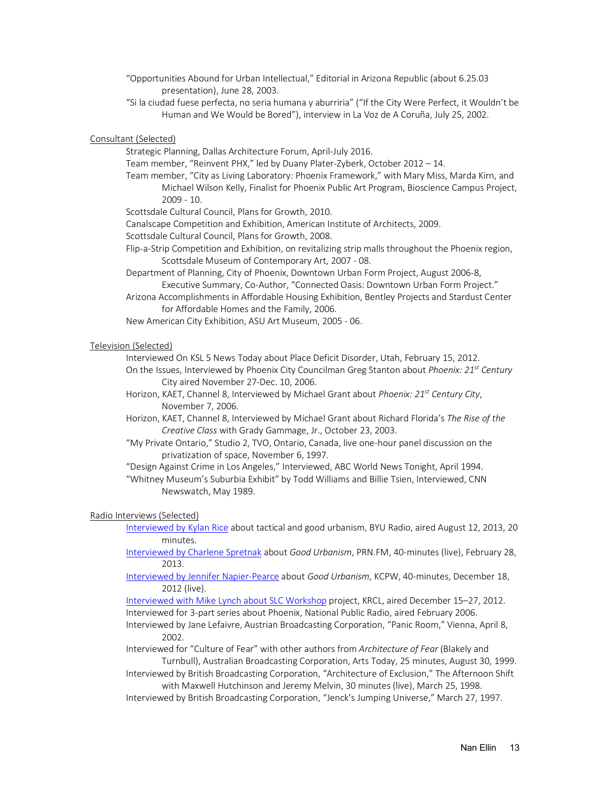"Opportunities Abound for Urban Intellectual," Editorial in Arizona Republic (about 6.25.03 presentation), June 28, 2003.

"Si la ciudad fuese perfecta, no seria humana y aburriria" ("If the City Were Perfect, it Wouldn't be Human and We Would be Bored"), interview in La Voz de A Coruña, July 25, 2002.

Consultant (Selected)

Strategic Planning, Dallas Architecture Forum, April-July 2016.

Team member, "Reinvent PHX," led by Duany Plater-Zyberk, October 2012 – 14.

Team member, "City as Living Laboratory: Phoenix Framework," with Mary Miss, Marda Kirn, and Michael Wilson Kelly, Finalist for Phoenix Public Art Program, Bioscience Campus Project, 2009 - 10.

Scottsdale Cultural Council, Plans for Growth, 2010.

Canalscape Competition and Exhibition, American Institute of Architects, 2009.

Scottsdale Cultural Council, Plans for Growth, 2008.

Flip-a-Strip Competition and Exhibition, on revitalizing strip malls throughout the Phoenix region, Scottsdale Museum of Contemporary Art, 2007 - 08.

Department of Planning, City of Phoenix, Downtown Urban Form Project, August 2006-8, Executive Summary, Co-Author, "Connected Oasis: Downtown Urban Form Project."

Arizona Accomplishments in Affordable Housing Exhibition, Bentley Projects and Stardust Center for Affordable Homes and the Family, 2006.

New American City Exhibition, ASU Art Museum, 2005 - 06.

### Television (Selected)

Interviewed On KSL 5 News Today about Place Deficit Disorder, Utah, February 15, 2012.

On the Issues, Interviewed by Phoenix City Councilman Greg Stanton about *Phoenix: 21st Century* City aired November 27-Dec. 10, 2006.

Horizon, KAET, Channel 8, Interviewed by Michael Grant about *Phoenix: 21st Century City*, November 7, 2006.

- Horizon, KAET, Channel 8, Interviewed by Michael Grant about Richard Florida's *The Rise of the Creative Class* with Grady Gammage, Jr., October 23, 2003.
- "My Private Ontario," Studio 2, TVO, Ontario, Canada, live one-hour panel discussion on the privatization of space, November 6, 1997.

"Design Against Crime in Los Angeles," Interviewed, ABC World News Tonight, April 1994. "Whitney Museum's Suburbia Exhibit" by Todd Williams and Billie Tsien, Interviewed, CNN Newswatch, May 1989.

### Radio Interviews (Selected)

Interviewed by Kylan Rice about tactical and good urbanism, BYU Radio, aired August 12, 2013, 20 minutes.

Interviewed by Charlene Spretnak about *Good Urbanism*, PRN.FM, 40-minutes (live), February 28, 2013.

Interviewed by Jennifer Napier-Pearce about *Good Urbanism*, KCPW, 40-minutes, December 18, 2012 (live).

Interviewed with Mike Lynch about SLC Workshop project, KRCL, aired December 15–27, 2012. Interviewed for 3-part series about Phoenix, National Public Radio, aired February 2006.

Interviewed by Jane Lefaivre, Austrian Broadcasting Corporation, "Panic Room," Vienna, April 8, 2002.

Interviewed for "Culture of Fear" with other authors from *Architecture of Fear* (Blakely and Turnbull), Australian Broadcasting Corporation, Arts Today, 25 minutes, August 30, 1999.

Interviewed by British Broadcasting Corporation, "Architecture of Exclusion," The Afternoon Shift with Maxwell Hutchinson and Jeremy Melvin, 30 minutes (live), March 25, 1998.

Interviewed by British Broadcasting Corporation, "Jenck's Jumping Universe," March 27, 1997.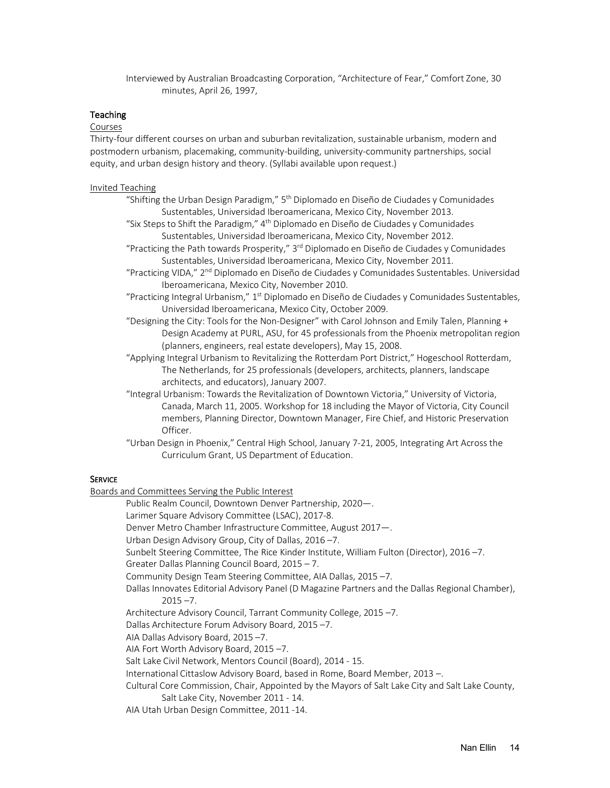Interviewed by Australian Broadcasting Corporation, "Architecture of Fear," Comfort Zone, 30 minutes, April 26, 1997,

# **Teaching**

# Courses

Thirty-four different courses on urban and suburban revitalization, sustainable urbanism, modern and postmodern urbanism, placemaking, community-building, university-community partnerships, social equity, and urban design history and theory. (Syllabi available upon request.)

### Invited Teaching

- "Shifting the Urban Design Paradigm,"  $5<sup>th</sup>$  Diplomado en Diseño de Ciudades y Comunidades Sustentables, Universidad Iberoamericana, Mexico City, November 2013.
- "Six Steps to Shift the Paradigm," 4<sup>th</sup> Diplomado en Diseño de Ciudades y Comunidades Sustentables, Universidad Iberoamericana, Mexico City, November 2012.
- "Practicing the Path towards Prosperity," 3rd Diplomado en Diseño de Ciudades y Comunidades Sustentables, Universidad Iberoamericana, Mexico City, November 2011.
- "Practicing VIDA," 2<sup>nd</sup> Diplomado en Diseño de Ciudades y Comunidades Sustentables. Universidad Iberoamericana, Mexico City, November 2010.
- "Practicing Integral Urbanism,"  $1<sup>st</sup>$  Diplomado en Diseño de Ciudades y Comunidades Sustentables, Universidad Iberoamericana, Mexico City, October 2009.
- "Designing the City: Tools for the Non-Designer" with Carol Johnson and Emily Talen, Planning + Design Academy at PURL, ASU, for 45 professionals from the Phoenix metropolitan region (planners, engineers, real estate developers), May 15, 2008.

"Applying Integral Urbanism to Revitalizing the Rotterdam Port District," Hogeschool Rotterdam, The Netherlands, for 25 professionals (developers, architects, planners, landscape architects, and educators), January 2007.

- "Integral Urbanism: Towards the Revitalization of Downtown Victoria," University of Victoria, Canada, March 11, 2005. Workshop for 18 including the Mayor of Victoria, City Council members, Planning Director, Downtown Manager, Fire Chief, and Historic Preservation Officer.
- "Urban Design in Phoenix," Central High School, January 7-21, 2005, Integrating Art Across the Curriculum Grant, US Department of Education.

### **SERVICE**

Boards and Committees Serving the Public Interest

Public Realm Council, Downtown Denver Partnership, 2020—.

Larimer Square Advisory Committee (LSAC), 2017-8.

Denver Metro Chamber Infrastructure Committee, August 2017—.

Urban Design Advisory Group, City of Dallas, 2016 –7.

- Sunbelt Steering Committee, The Rice Kinder Institute, William Fulton (Director), 2016 –7.
- Greater Dallas Planning Council Board, 2015 7.

Community Design Team Steering Committee, AIA Dallas, 2015 –7.

Dallas Innovates Editorial Advisory Panel (D Magazine Partners and the Dallas Regional Chamber),  $2015 - 7$ .

- Architecture Advisory Council, Tarrant Community College, 2015 –7.
- Dallas Architecture Forum Advisory Board, 2015 –7.
- AIA Dallas Advisory Board, 2015 –7.

AIA Fort Worth Advisory Board, 2015 –7.

Salt Lake Civil Network, Mentors Council (Board), 2014 - 15.

International Cittaslow Advisory Board, based in Rome, Board Member, 2013 –.

Cultural Core Commission, Chair, Appointed by the Mayors of Salt Lake City and Salt Lake County,

- Salt Lake City, November 2011 14.
- AIA Utah Urban Design Committee, 2011 -14.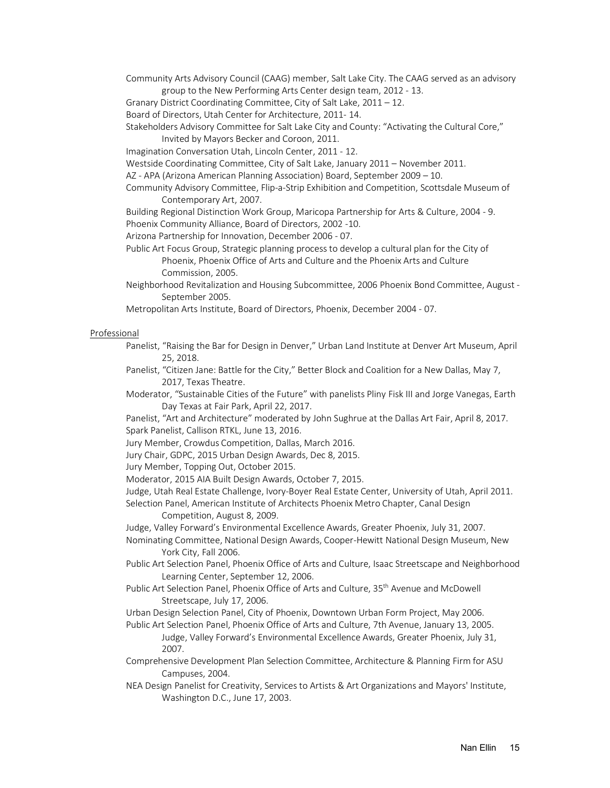- Community Arts Advisory Council (CAAG) member, Salt Lake City. The CAAG served as an advisory group to the New Performing Arts Center design team, 2012 - 13.
- Granary District Coordinating Committee, City of Salt Lake, 2011 12.

Board of Directors, Utah Center for Architecture, 2011- 14.

Stakeholders Advisory Committee for Salt Lake City and County: "Activating the Cultural Core,"

Invited by Mayors Becker and Coroon, 2011.

Imagination Conversation Utah, Lincoln Center, 2011 - 12.

Westside Coordinating Committee, City of Salt Lake, January 2011 – November 2011.

AZ - APA (Arizona American Planning Association) Board, September 2009 – 10.

Community Advisory Committee, Flip-a-Strip Exhibition and Competition, Scottsdale Museum of Contemporary Art, 2007.

Building Regional Distinction Work Group, Maricopa Partnership for Arts & Culture, 2004 - 9.

Phoenix Community Alliance, Board of Directors, 2002 -10.

Arizona Partnership for Innovation, December 2006 - 07.

- Public Art Focus Group, Strategic planning process to develop a cultural plan for the City of Phoenix, Phoenix Office of Arts and Culture and the Phoenix Arts and Culture Commission, 2005.
- Neighborhood Revitalization and Housing Subcommittee, 2006 Phoenix Bond Committee, August September 2005.

Metropolitan Arts Institute, Board of Directors, Phoenix, December 2004 - 07.

### Professional

- Panelist, "Raising the Bar for Design in Denver," Urban Land Institute at Denver Art Museum, April 25, 2018.
- Panelist, "Citizen Jane: Battle for the City," Better Block and Coalition for a New Dallas, May 7, 2017, Texas Theatre.

Moderator, "Sustainable Cities of the Future" with panelists Pliny Fisk III and Jorge Vanegas, Earth Day Texas at Fair Park, April 22, 2017.

Panelist, "Art and Architecture" moderated by John Sughrue at the Dallas Art Fair, April 8, 2017. Spark Panelist, Callison RTKL, June 13, 2016.

Jury Member, Crowdus Competition, Dallas, March 2016.

Jury Chair, GDPC, 2015 Urban Design Awards, Dec 8, 2015.

Jury Member, Topping Out, October 2015.

Moderator, 2015 AIA Built Design Awards, October 7, 2015.

Judge, Utah Real Estate Challenge, Ivory-Boyer Real Estate Center, University of Utah, April 2011.

Selection Panel, American Institute of Architects Phoenix Metro Chapter, Canal Design Competition, August 8, 2009.

Judge, Valley Forward's Environmental Excellence Awards, Greater Phoenix, July 31, 2007.

Nominating Committee, National Design Awards, Cooper-Hewitt National Design Museum, New York City, Fall 2006.

- Public Art Selection Panel, Phoenix Office of Arts and Culture, Isaac Streetscape and Neighborhood Learning Center, September 12, 2006.
- Public Art Selection Panel, Phoenix Office of Arts and Culture, 35<sup>th</sup> Avenue and McDowell Streetscape, July 17, 2006.

Urban Design Selection Panel, City of Phoenix, Downtown Urban Form Project, May 2006.

Public Art Selection Panel, Phoenix Office of Arts and Culture, 7th Avenue, January 13, 2005. Judge, Valley Forward's Environmental Excellence Awards, Greater Phoenix, July 31, 2007.

Comprehensive Development Plan Selection Committee, Architecture & Planning Firm for ASU Campuses, 2004.

NEA Design Panelist for Creativity, Services to Artists & Art Organizations and Mayors' Institute, Washington D.C., June 17, 2003.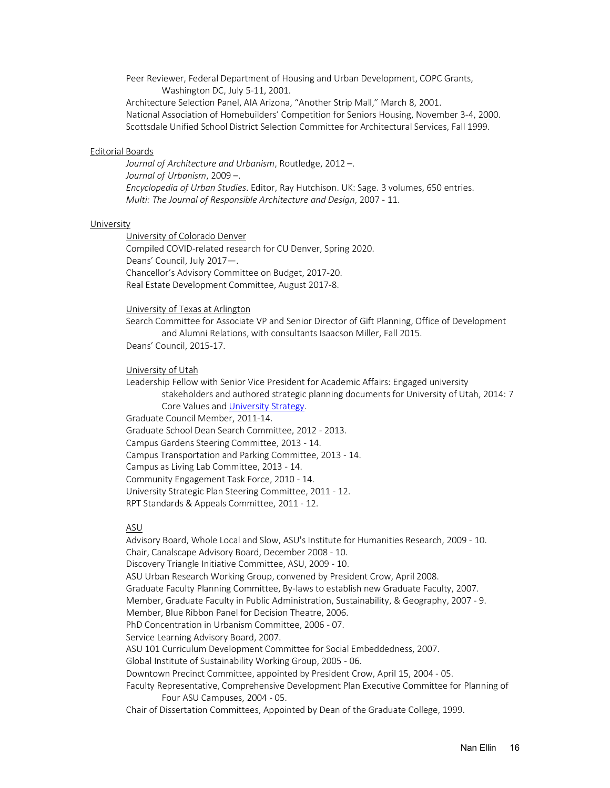Peer Reviewer, Federal Department of Housing and Urban Development, COPC Grants, Washington DC, July 5-11, 2001.

Architecture Selection Panel, AIA Arizona, "Another Strip Mall," March 8, 2001. National Association of Homebuilders' Competition for Seniors Housing, November 3-4, 2000. Scottsdale Unified School District Selection Committee for Architectural Services, Fall 1999.

### Editorial Boards

*Journal of Architecture and Urbanism*, Routledge, 2012 –. *Journal of Urbanism*, 2009 –. *Encyclopedia of Urban Studies*. Editor, Ray Hutchison. UK: Sage. 3 volumes, 650 entries. *Multi: The Journal of Responsible Architecture and Design*, 2007 - 11.

### **University**

University of Colorado Denver

Compiled COVID-related research for CU Denver, Spring 2020. Deans' Council, July 2017—. Chancellor's Advisory Committee on Budget, 2017-20. Real Estate Development Committee, August 2017-8.

#### University of Texas at Arlington

Search Committee for Associate VP and Senior Director of Gift Planning, Office of Development and Alumni Relations, with consultants Isaacson Miller, Fall 2015.

Deans' Council, 2015-17.

#### University of Utah

Leadership Fellow with Senior Vice President for Academic Affairs: Engaged university stakeholders and authored strategic planning documents for University of Utah, 2014: 7 Core Values and University Strategy.

Graduate Council Member, 2011-14.

Graduate School Dean Search Committee, 2012 - 2013.

Campus Gardens Steering Committee, 2013 - 14.

Campus Transportation and Parking Committee, 2013 - 14.

Campus as Living Lab Committee, 2013 - 14.

Community Engagement Task Force, 2010 - 14.

University Strategic Plan Steering Committee, 2011 - 12.

RPT Standards & Appeals Committee, 2011 - 12.

### ASU

Advisory Board, Whole Local and Slow, ASU's Institute for Humanities Research, 2009 - 10. Chair, Canalscape Advisory Board, December 2008 - 10. Discovery Triangle Initiative Committee, ASU, 2009 - 10. ASU Urban Research Working Group, convened by President Crow, April 2008. Graduate Faculty Planning Committee, By-laws to establish new Graduate Faculty, 2007. Member, Graduate Faculty in Public Administration, Sustainability, & Geography, 2007 - 9. Member, Blue Ribbon Panel for Decision Theatre, 2006. PhD Concentration in Urbanism Committee, 2006 - 07. Service Learning Advisory Board, 2007. ASU 101 Curriculum Development Committee for Social Embeddedness, 2007. Global Institute of Sustainability Working Group, 2005 - 06. Downtown Precinct Committee, appointed by President Crow, April 15, 2004 - 05. Faculty Representative, Comprehensive Development Plan Executive Committee for Planning of Four ASU Campuses, 2004 - 05. Chair of Dissertation Committees, Appointed by Dean of the Graduate College, 1999.